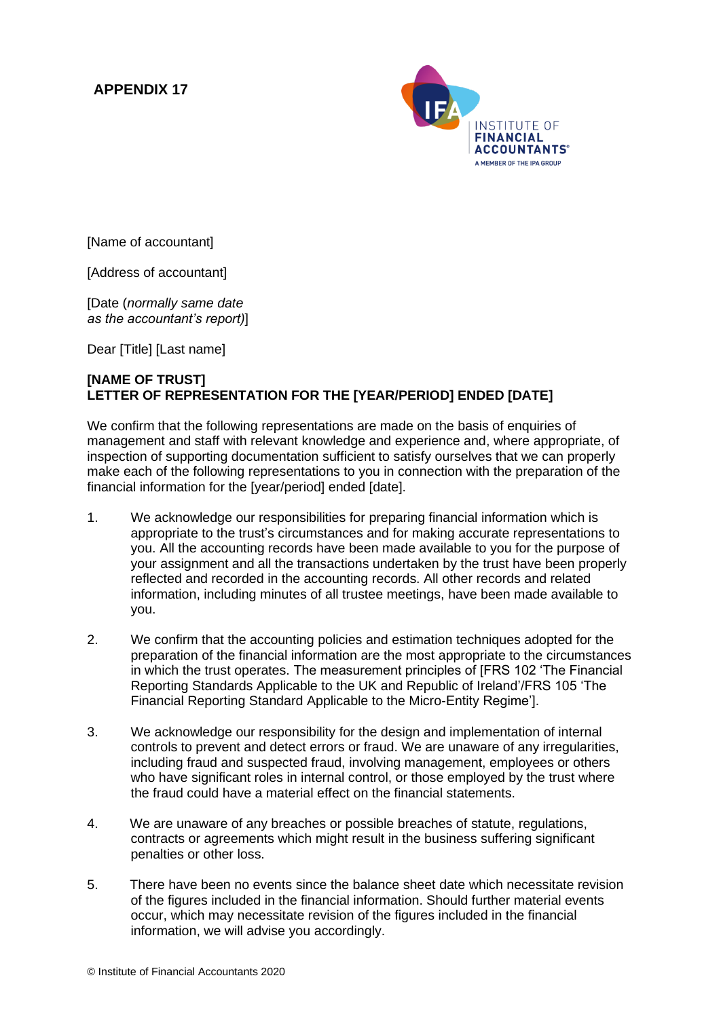## **APPENDIX 17**



[Name of accountant]

[Address of accountant]

[Date (*normally same date as the accountant's report)*]

Dear [Title] [Last name]

## **[NAME OF TRUST] LETTER OF REPRESENTATION FOR THE [YEAR/PERIOD] ENDED [DATE]**

We confirm that the following representations are made on the basis of enquiries of management and staff with relevant knowledge and experience and, where appropriate, of inspection of supporting documentation sufficient to satisfy ourselves that we can properly make each of the following representations to you in connection with the preparation of the financial information for the [year/period] ended [date].

- 1. We acknowledge our responsibilities for preparing financial information which is appropriate to the trust's circumstances and for making accurate representations to you. All the accounting records have been made available to you for the purpose of your assignment and all the transactions undertaken by the trust have been properly reflected and recorded in the accounting records. All other records and related information, including minutes of all trustee meetings, have been made available to you.
- 2. We confirm that the accounting policies and estimation techniques adopted for the preparation of the financial information are the most appropriate to the circumstances in which the trust operates. The measurement principles of [FRS 102 'The Financial Reporting Standards Applicable to the UK and Republic of Ireland'/FRS 105 'The Financial Reporting Standard Applicable to the Micro-Entity Regime'].
- 3. We acknowledge our responsibility for the design and implementation of internal controls to prevent and detect errors or fraud. We are unaware of any irregularities, including fraud and suspected fraud, involving management, employees or others who have significant roles in internal control, or those employed by the trust where the fraud could have a material effect on the financial statements.
- 4. We are unaware of any breaches or possible breaches of statute, regulations, contracts or agreements which might result in the business suffering significant penalties or other loss.
- 5. There have been no events since the balance sheet date which necessitate revision of the figures included in the financial information. Should further material events occur, which may necessitate revision of the figures included in the financial information, we will advise you accordingly.